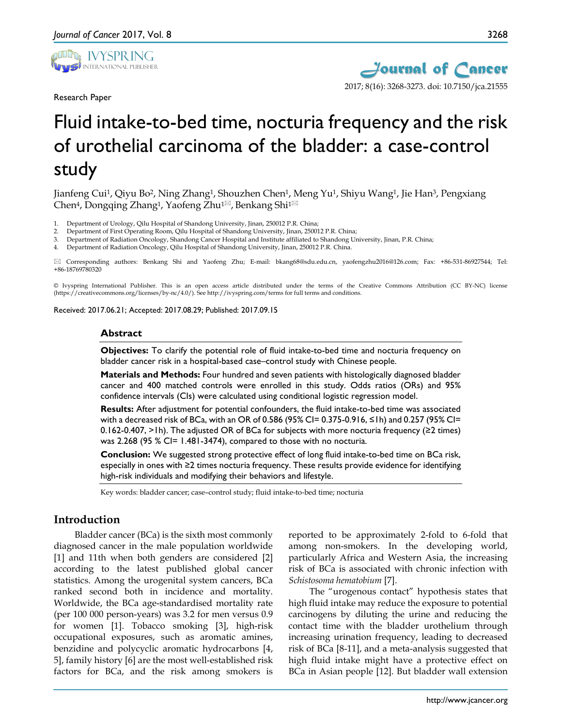

Research Paper



# Fluid intake-to-bed time, nocturia frequency and the risk of urothelial carcinoma of the bladder: a case-control study

Jianfeng Cui1, Qiyu Bo2, Ning Zhang1, Shouzhen Chen1, Meng Yu1, Shiyu Wang1, Jie Han3, Pengxiang Chen<sup>4</sup>, Dongqing Zhang<sup>1</sup>, Yaofeng Zhu<sup>1 $\boxtimes$ </sup>, Benkang Shi<sup>1 $\boxtimes$ </sup>

1. Department of Urology, Qilu Hospital of Shandong University, Jinan, 250012 P.R. China;

- 2. Department of First Operating Room, Qilu Hospital of Shandong University, Jinan, 250012 P.R. China;
- 3. Department of Radiation Oncology, Shandong Cancer Hospital and Institute affiliated to Shandong University, Jinan, P.R. China;

4. Department of Radiation Oncology, Qilu Hospital of Shandong University, Jinan, 250012 P.R. China.

 Corresponding authors: Benkang Shi and Yaofeng Zhu; E-mail: bkang68@sdu.edu.cn, yaofengzhu2016@126.com; Fax: +86-531-86927544; Tel: +86-18769780320

© Ivyspring International Publisher. This is an open access article distributed under the terms of the Creative Commons Attribution (CC BY-NC) license (https://creativecommons.org/licenses/by-nc/4.0/). See http://ivyspring.com/terms for full terms and conditions.

Received: 2017.06.21; Accepted: 2017.08.29; Published: 2017.09.15

#### **Abstract**

**Objectives:** To clarify the potential role of fluid intake-to-bed time and nocturia frequency on bladder cancer risk in a hospital-based case–control study with Chinese people.

**Materials and Methods:** Four hundred and seven patients with histologically diagnosed bladder cancer and 400 matched controls were enrolled in this study. Odds ratios (ORs) and 95% confidence intervals (CIs) were calculated using conditional logistic regression model.

**Results:** After adjustment for potential confounders, the fluid intake-to-bed time was associated with a decreased risk of BCa, with an OR of 0.586 (95% CI= 0.375-0.916, ≤1h) and 0.257 (95% CI= 0.162-0.407, >1h). The adjusted OR of BCa for subjects with more nocturia frequency (≥2 times) was 2.268 (95 % CI= 1.481-3474), compared to those with no nocturia.

**Conclusion:** We suggested strong protective effect of long fluid intake-to-bed time on BCa risk, especially in ones with ≥2 times nocturia frequency. These results provide evidence for identifying high-risk individuals and modifying their behaviors and lifestyle.

Key words: bladder cancer; case–control study; fluid intake-to-bed time; nocturia

# **Introduction**

Bladder cancer (BCa) is the sixth most commonly diagnosed cancer in the male population worldwide [1] and 11th when both genders are considered [2] according to the latest published global cancer statistics. Among the urogenital system cancers, BCa ranked second both in incidence and mortality. Worldwide, the BCa age-standardised mortality rate (per 100 000 person-years) was 3.2 for men versus 0.9 for women [1]. Tobacco smoking [3], high-risk occupational exposures, such as aromatic amines, benzidine and polycyclic aromatic hydrocarbons [4, 5], family history [6] are the most well-established risk factors for BCa, and the risk among smokers is

reported to be approximately 2-fold to 6-fold that among non-smokers. In the developing world, particularly Africa and Western Asia, the increasing risk of BCa is associated with chronic infection with *Schistosoma hematobium* [7].

The "urogenous contact" hypothesis states that high fluid intake may reduce the exposure to potential carcinogens by diluting the urine and reducing the contact time with the bladder urothelium through increasing urination frequency, leading to decreased risk of BCa [8-11], and a meta-analysis suggested that high fluid intake might have a protective effect on BCa in Asian people [12]. But bladder wall extension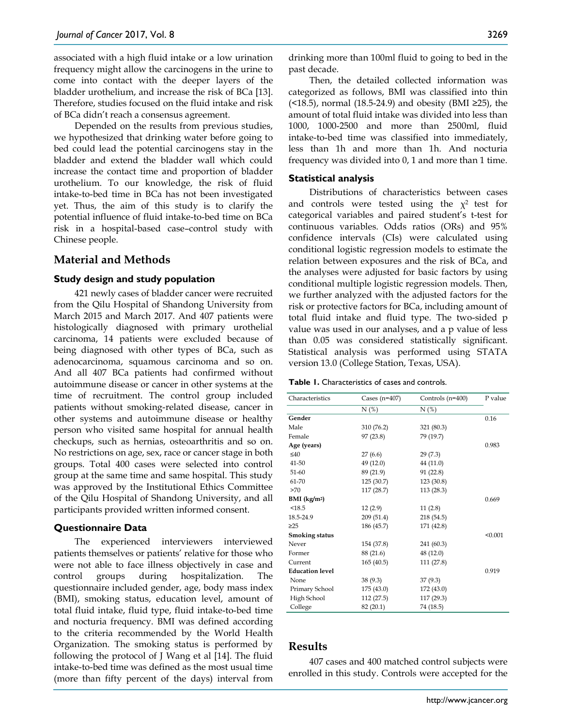associated with a high fluid intake or a low urination frequency might allow the carcinogens in the urine to come into contact with the deeper layers of the bladder urothelium, and increase the risk of BCa [13]. Therefore, studies focused on the fluid intake and risk of BCa didn't reach a consensus agreement.

Depended on the results from previous studies, we hypothesized that drinking water before going to bed could lead the potential carcinogens stay in the bladder and extend the bladder wall which could increase the contact time and proportion of bladder urothelium. To our knowledge, the risk of fluid intake-to-bed time in BCa has not been investigated yet. Thus, the aim of this study is to clarify the potential influence of fluid intake-to-bed time on BCa risk in a hospital-based case–control study with Chinese people.

## **Material and Methods**

## **Study design and study population**

421 newly cases of bladder cancer were recruited from the Qilu Hospital of Shandong University from March 2015 and March 2017. And 407 patients were histologically diagnosed with primary urothelial carcinoma, 14 patients were excluded because of being diagnosed with other types of BCa, such as adenocarcinoma, squamous carcinoma and so on. And all 407 BCa patients had confirmed without autoimmune disease or cancer in other systems at the time of recruitment. The control group included patients without smoking-related disease, cancer in other systems and autoimmune disease or healthy person who visited same hospital for annual health checkups, such as hernias, osteoarthritis and so on. No restrictions on age, sex, race or cancer stage in both groups. Total 400 cases were selected into control group at the same time and same hospital. This study was approved by the Institutional Ethics Committee of the Qilu Hospital of Shandong University, and all participants provided written informed consent.

#### **Questionnaire Data**

The experienced interviewers interviewed patients themselves or patients' relative for those who were not able to face illness objectively in case and control groups during hospitalization. The questionnaire included gender, age, body mass index (BMI), smoking status, education level, amount of total fluid intake, fluid type, fluid intake-to-bed time and nocturia frequency. BMI was defined according to the criteria recommended by the World Health Organization. The smoking status is performed by following the protocol of J Wang et al [14]. The fluid intake-to-bed time was defined as the most usual time (more than fifty percent of the days) interval from drinking more than 100ml fluid to going to bed in the past decade.

Then, the detailed collected information was categorized as follows, BMI was classified into thin ( $5$ ), normal (18.5-24.9) and obesity (BMI ≥25), the amount of total fluid intake was divided into less than 1000, 1000-2500 and more than 2500ml, fluid intake-to-bed time was classified into immediately, less than 1h and more than 1h. And nocturia frequency was divided into 0, 1 and more than 1 time.

#### **Statistical analysis**

Distributions of characteristics between cases and controls were tested using the  $\chi^2$  test for categorical variables and paired student's t-test for continuous variables. Odds ratios (ORs) and 95% confidence intervals (CIs) were calculated using conditional logistic regression models to estimate the relation between exposures and the risk of BCa, and the analyses were adjusted for basic factors by using conditional multiple logistic regression models. Then, we further analyzed with the adjusted factors for the risk or protective factors for BCa, including amount of total fluid intake and fluid type. The two-sided p value was used in our analyses, and a p value of less than 0.05 was considered statistically significant. Statistical analysis was performed using STATA version 13.0 (College Station, Texas, USA).

| Table 1. Characteristics of cases and controls. |
|-------------------------------------------------|
|-------------------------------------------------|

| Characteristics          | Cases $(n=407)$ | Controls (n=400) | P value |
|--------------------------|-----------------|------------------|---------|
|                          | $N$ (%)         | $N$ $(\%)$       |         |
| Gender                   |                 |                  | 0.16    |
| Male                     | 310 (76.2)      | 321 (80.3)       |         |
| Female                   | 97 (23.8)       | 79 (19.7)        |         |
| Age (years)              |                 |                  | 0.983   |
| $\leq 40$                | 27(6.6)         | 29(7.3)          |         |
| 41-50                    | 49 (12.0)       | 44 (11.0)        |         |
| $51 - 60$                | 89 (21.9)       | 91(22.8)         |         |
| 61-70                    | 125(30.7)       | 123 (30.8)       |         |
| >70                      | 117(28.7)       | 113(28.3)        |         |
| BMI (kg/m <sup>2</sup> ) |                 |                  | 0.669   |
| < 18.5                   | 12(2.9)         | 11(2.8)          |         |
| 18.5-24.9                | 209(51.4)       | 218 (54.5)       |         |
| $\geq$ 25                | 186 (45.7)      | 171 (42.8)       |         |
| <b>Smoking status</b>    |                 |                  | < 0.001 |
| Never                    | 154 (37.8)      | 241 (60.3)       |         |
| Former                   | 88 (21.6)       | 48 (12.0)        |         |
| Current                  | 165(40.5)       | 111 (27.8)       |         |
| <b>Education level</b>   |                 |                  | 0.919   |
| None                     | 38(9.3)         | 37(9.3)          |         |
| Primary School           | 175(43.0)       | 172 (43.0)       |         |
| High School              | 112(27.5)       | 117 (29.3)       |         |
| College                  | 82 (20.1)       | 74 (18.5)        |         |

## **Results**

407 cases and 400 matched control subjects were enrolled in this study. Controls were accepted for the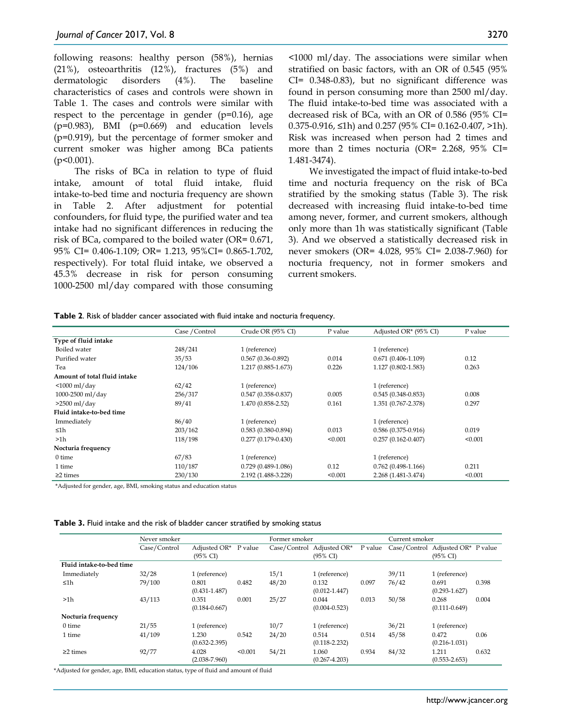following reasons: healthy person (58%), hernias (21%), osteoarthritis (12%), fractures (5%) and dermatologic disorders (4%). The baseline characteristics of cases and controls were shown in Table 1. The cases and controls were similar with respect to the percentage in gender  $(p=0.16)$ , age (p=0.983), BMI (p=0.669) and education levels (p=0.919), but the percentage of former smoker and current smoker was higher among BCa patients (p<0.001).

The risks of BCa in relation to type of fluid intake, amount of total fluid intake, fluid intake-to-bed time and nocturia frequency are shown in Table 2. After adjustment for potential confounders, for fluid type, the purified water and tea intake had no significant differences in reducing the risk of BCa, compared to the boiled water (OR= 0.671, 95% CI= 0.406-1.109; OR= 1.213, 95%CI= 0.865-1.702, respectively). For total fluid intake, we observed a 45.3% decrease in risk for person consuming 1000-2500 ml/day compared with those consuming

<1000 ml/day. The associations were similar when stratified on basic factors, with an OR of 0.545 (95% CI= 0.348-0.83), but no significant difference was found in person consuming more than 2500 ml/day. The fluid intake-to-bed time was associated with a decreased risk of BCa, with an OR of 0.586 (95% CI=  $0.375 - 0.916$ , ≤1h) and  $0.257$  (95% CI= 0.162-0.407, >1h). Risk was increased when person had 2 times and more than 2 times nocturia (OR= 2.268, 95% CI= 1.481-3474).

We investigated the impact of fluid intake-to-bed time and nocturia frequency on the risk of BCa stratified by the smoking status (Table 3). The risk decreased with increasing fluid intake-to-bed time among never, former, and current smokers, although only more than 1h was statistically significant (Table 3). And we observed a statistically decreased risk in never smokers (OR= 4.028, 95% CI= 2.038-7.960) for nocturia frequency, not in former smokers and current smokers.

**Table 2**. Risk of bladder cancer associated with fluid intake and nocturia frequency.

|                                              | Case / Control | Crude OR (95% CI)      | P value | Adjusted OR* (95% CI)  | P value |
|----------------------------------------------|----------------|------------------------|---------|------------------------|---------|
| Type of fluid intake                         |                |                        |         |                        |         |
| Boiled water                                 | 248/241        | 1 (reference)          |         | 1 (reference)          |         |
| Purified water                               | 35/53          | $0.567(0.36 - 0.892)$  | 0.014   | $0.671(0.406 - 1.109)$ | 0.12    |
| Tea                                          | 124/106        | 1.217 (0.885-1.673)    | 0.226   | 1.127 (0.802-1.583)    | 0.263   |
| Amount of total fluid intake                 |                |                        |         |                        |         |
| $\langle 1000 \text{ ml}/\text{day} \rangle$ | 62/42          | 1 (reference)          |         | 1 (reference)          |         |
| 1000-2500 ml/day                             | 256/317        | $0.547(0.358-0.837)$   | 0.005   | $0.545(0.348-0.853)$   | 0.008   |
| $>2500$ ml/day                               | 89/41          | 1.470 (0.858-2.52)     | 0.161   | 1.351 (0.767-2.378)    | 0.297   |
| Fluid intake-to-bed time                     |                |                        |         |                        |         |
| Immediately                                  | 86/40          | 1 (reference)          |         | 1 (reference)          |         |
| ≤1 $h$                                       | 203/162        | $0.583(0.380 - 0.894)$ | 0.013   | $0.586(0.375-0.916)$   | 0.019   |
| >1h                                          | 118/198        | $0.277(0.179 - 0.430)$ | < 0.001 | $0.257(0.162 - 0.407)$ | < 0.001 |
| Nocturia frequency                           |                |                        |         |                        |         |
| $0$ time                                     | 67/83          | 1 (reference)          |         | 1 (reference)          |         |
| 1 time                                       | 110/187        | $0.729(0.489-1.086)$   | 0.12    | $0.762(0.498-1.166)$   | 0.211   |
| $\geq$ 2 times                               | 230/130        | 2.192 (1.488-3.228)    | < 0.001 | 2.268 (1.481-3.474)    | < 0.001 |

\*Adjusted for gender, age, BMI, smoking status and education status

|  |  |  |  |  |  |  |  |  |  |  |  | <b>Table 3.</b> Fluid intake and the risk of bladder cancer stratified by smoking status |
|--|--|--|--|--|--|--|--|--|--|--|--|------------------------------------------------------------------------------------------|
|--|--|--|--|--|--|--|--|--|--|--|--|------------------------------------------------------------------------------------------|

|                          | Never smoker |                                     |         | Former smoker |                                                  |         | Current smoker |                                                          |       |
|--------------------------|--------------|-------------------------------------|---------|---------------|--------------------------------------------------|---------|----------------|----------------------------------------------------------|-------|
|                          | Case/Control | Adjusted OR*<br>$(95\% \text{ CI})$ | P value |               | Case/Control Adjusted OR*<br>$(95\% \text{ CI})$ | P value |                | Case/Control Adjusted OR* P value<br>$(95\% \text{ CI})$ |       |
| Fluid intake-to-bed time |              |                                     |         |               |                                                  |         |                |                                                          |       |
| Immediately              | 32/28        | 1 (reference)                       |         | 15/1          | 1 (reference)                                    |         | 39/11          | 1 (reference)                                            |       |
| ≤1 $h$                   | 79/100       | 0.801<br>$(0.431 - 1.487)$          | 0.482   | 48/20         | 0.132<br>$(0.012 - 1.447)$                       | 0.097   | 76/42          | 0.691<br>$(0.293 - 1.627)$                               | 0.398 |
| >1h                      | 43/113       | 0.351<br>$(0.184 - 0.667)$          | 0.001   | 25/27         | 0.044<br>$(0.004 - 0.523)$                       | 0.013   | 50/58          | 0.268<br>$(0.111 - 0.649)$                               | 0.004 |
| Nocturia frequency       |              |                                     |         |               |                                                  |         |                |                                                          |       |
| $0$ time                 | 21/55        | 1 (reference)                       |         | 10/7          | 1 (reference)                                    |         | 36/21          | 1 (reference)                                            |       |
| 1 time                   | 41/109       | 1.230<br>$(0.632 - 2.395)$          | 0.542   | 24/20         | 0.514<br>$(0.118 - 2.232)$                       | 0.514   | 45/58          | 0.472<br>$(0.216 - 1.031)$                               | 0.06  |
| $\geq$ 2 times           | 92/77        | 4.028<br>$(2.038 - 7.960)$          | < 0.001 | 54/21         | 1.060<br>$(0.267 - 4.203)$                       | 0.934   | 84/32          | 1.211<br>$(0.553 - 2.653)$                               | 0.632 |

\*Adjusted for gender, age, BMI, education status, type of fluid and amount of fluid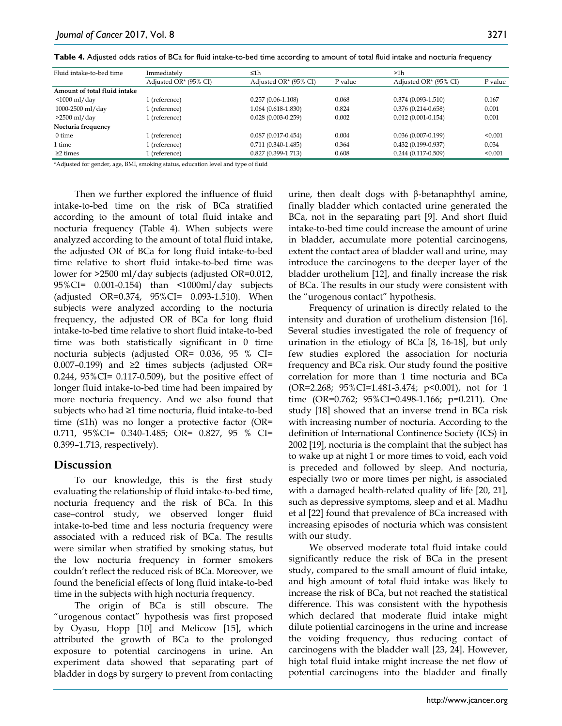| Fluid intake-to-bed time     | Immediately           | ≤1 $h$                 |         | >1 <sub>h</sub>        |         |
|------------------------------|-----------------------|------------------------|---------|------------------------|---------|
|                              | Adjusted OR* (95% CI) | Adjusted OR* (95% CI)  | P value | Adjusted OR* (95% CI)  | P value |
| Amount of total fluid intake |                       |                        |         |                        |         |
| $<$ 1000 ml/day              | (reference)           | $0.257(0.06-1.108)$    | 0.068   | $0.374(0.093 - 1.510)$ | 0.167   |
| 1000-2500 ml/day             | l (reference)         | $1.064(0.618-1.830)$   | 0.824   | $0.376(0.214 - 0.658)$ | 0.001   |
| $>2500$ ml/day               | l (reference)         | $0.028(0.003 - 0.259)$ | 0.002   | $0.012(0.001 - 0.154)$ | 0.001   |
| Nocturia frequency           |                       |                        |         |                        |         |
| $0$ time                     | 1 (reference)         | $0.087(0.017 - 0.454)$ | 0.004   | $0.036(0.007-0.199)$   | < 0.001 |
| 1 time                       | l (reference)         | $0.711(0.340-1.485)$   | 0.364   | $0.432(0.199 - 0.937)$ | 0.034   |
| $\geq$ 2 times               | (reference)           | $0.827(0.399 - 1.713)$ | 0.608   | $0.244(0.117-0.509)$   | < 0.001 |

| Table 4. Adjusted odds ratios of BCa for fluid intake-to-bed time according to amount of total fluid intake and nocturia frequency |  |
|------------------------------------------------------------------------------------------------------------------------------------|--|
|------------------------------------------------------------------------------------------------------------------------------------|--|

\*Adjusted for gender, age, BMI, smoking status, education level and type of fluid

Then we further explored the influence of fluid intake-to-bed time on the risk of BCa stratified according to the amount of total fluid intake and nocturia frequency (Table 4). When subjects were analyzed according to the amount of total fluid intake, the adjusted OR of BCa for long fluid intake-to-bed time relative to short fluid intake-to-bed time was lower for >2500 ml/day subjects (adjusted OR=0.012, 95%CI= 0.001-0.154) than <1000ml/day subjects (adjusted OR=0.374, 95%CI= 0.093-1.510). When subjects were analyzed according to the nocturia frequency, the adjusted OR of BCa for long fluid intake-to-bed time relative to short fluid intake-to-bed time was both statistically significant in 0 time nocturia subjects (adjusted OR= 0.036, 95 % CI= 0.007–0.199) and  $\geq 2$  times subjects (adjusted OR= 0.244, 95%CI= 0.117-0.509), but the positive effect of longer fluid intake-to-bed time had been impaired by more nocturia frequency. And we also found that subjects who had ≥1 time nocturia, fluid intake-to-bed time (≤1h) was no longer a protective factor (OR= 0.711, 95%CI= 0.340-1.485; OR= 0.827, 95 % CI= 0.399–1.713, respectively).

# **Discussion**

To our knowledge, this is the first study evaluating the relationship of fluid intake-to-bed time, nocturia frequency and the risk of BCa. In this case–control study, we observed longer fluid intake-to-bed time and less nocturia frequency were associated with a reduced risk of BCa. The results were similar when stratified by smoking status, but the low nocturia frequency in former smokers couldn't reflect the reduced risk of BCa. Moreover, we found the beneficial effects of long fluid intake-to-bed time in the subjects with high nocturia frequency.

The origin of BCa is still obscure. The "urogenous contact" hypothesis was first proposed by Oyasu, Hopp [10] and Melicow [15], which attributed the growth of BCa to the prolonged exposure to potential carcinogens in urine. An experiment data showed that separating part of bladder in dogs by surgery to prevent from contacting urine, then dealt dogs with β-betanaphthyl amine, finally bladder which contacted urine generated the BCa, not in the separating part [9]. And short fluid intake-to-bed time could increase the amount of urine in bladder, accumulate more potential carcinogens, extent the contact area of bladder wall and urine, may introduce the carcinogens to the deeper layer of the bladder urothelium [12], and finally increase the risk of BCa. The results in our study were consistent with the "urogenous contact" hypothesis.

Frequency of urination is directly related to the intensity and duration of urothelium distension [16]. Several studies investigated the role of frequency of urination in the etiology of BCa [8, 16-18], but only few studies explored the association for nocturia frequency and BCa risk. Our study found the positive correlation for more than 1 time nocturia and BCa (OR=2.268; 95%CI=1.481-3.474; p<0.001), not for 1 time (OR=0.762; 95%CI=0.498-1.166; p=0.211). One study [18] showed that an inverse trend in BCa risk with increasing number of nocturia. According to the definition of International Continence Society (ICS) in 2002 [19], nocturia is the complaint that the subject has to wake up at night 1 or more times to void, each void is preceded and followed by sleep. And nocturia, especially two or more times per night, is associated with a damaged health-related quality of life [20, 21], such as depressive symptoms, sleep and et al. Madhu et al [22] found that prevalence of BCa increased with increasing episodes of nocturia which was consistent with our study.

We observed moderate total fluid intake could significantly reduce the risk of BCa in the present study, compared to the small amount of fluid intake, and high amount of total fluid intake was likely to increase the risk of BCa, but not reached the statistical difference. This was consistent with the hypothesis which declared that moderate fluid intake might dilute potiential carcinogens in the urine and increase the voiding frequency, thus reducing contact of carcinogens with the bladder wall [23, 24]. However, high total fluid intake might increase the net flow of potential carcinogens into the bladder and finally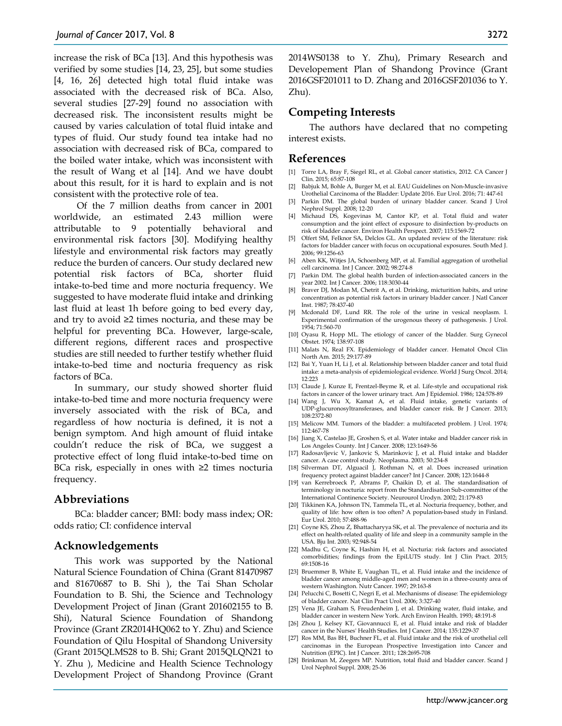increase the risk of BCa [13]. And this hypothesis was verified by some studies [14, 23, 25], but some studies [4, 16, 26] detected high total fluid intake was associated with the decreased risk of BCa. Also, several studies [27-29] found no association with decreased risk. The inconsistent results might be caused by varies calculation of total fluid intake and types of fluid. Our study found tea intake had no association with decreased risk of BCa, compared to the boiled water intake, which was inconsistent with the result of Wang et al [14]. And we have doubt about this result, for it is hard to explain and is not consistent with the protective role of tea.

Of the 7 million deaths from cancer in 2001 worldwide, an estimated 2.43 million were attributable to 9 potentially behavioral and environmental risk factors [30]. Modifying healthy lifestyle and environmental risk factors may greatly reduce the burden of cancers. Our study declared new potential risk factors of BCa, shorter fluid intake-to-bed time and more nocturia frequency. We suggested to have moderate fluid intake and drinking last fluid at least 1h before going to bed every day, and try to avoid ≥2 times nocturia, and these may be helpful for preventing BCa. However, large-scale, different regions, different races and prospective studies are still needed to further testify whether fluid intake-to-bed time and nocturia frequency as risk factors of BCa.

In summary, our study showed shorter fluid intake-to-bed time and more nocturia frequency were inversely associated with the risk of BCa, and regardless of how nocturia is defined, it is not a benign symptom. And high amount of fluid intake couldn't reduce the risk of BCa, we suggest a protective effect of long fluid intake-to-bed time on BCa risk, especially in ones with ≥2 times nocturia frequency.

## **Abbreviations**

BCa: bladder cancer; BMI: body mass index; OR: odds ratio; CI: confidence interval

## **Acknowledgements**

This work was supported by the National Natural Science Foundation of China (Grant 81470987 and 81670687 to B. Shi ), the Tai Shan Scholar Foundation to B. Shi, the Science and Technology Development Project of Jinan (Grant 201602155 to B. Shi), Natural Science Foundation of Shandong Province (Grant ZR2014HQ062 to Y. Zhu) and Science Foundation of Qilu Hospital of Shandong University (Grant 2015QLMS28 to B. Shi; Grant 2015QLQN21 to Y. Zhu ), Medicine and Health Science Technology Development Project of Shandong Province (Grant

2014WS0138 to Y. Zhu), Primary Research and Developement Plan of Shandong Province (Grant 2016GSF201011 to D. Zhang and 2016GSF201036 to Y. Zhu).

## **Competing Interests**

The authors have declared that no competing interest exists.

## **References**

- [1] Torre LA, Bray F, Siegel RL, et al. Global cancer statistics, 2012. CA Cancer J Clin. 2015; 65:87-108
- [2] Babjuk M, Bohle A, Burger M, et al. EAU Guidelines on Non-Muscle-invasive Urothelial Carcinoma of the Bladder: Update 2016. Eur Urol. 2016; 71: 447-61
- [3] Parkin DM. The global burden of urinary bladder cancer. Scand J Urol Nephrol Suppl. 2008; 12-20
- [4] Michaud DS, Kogevinas M, Cantor KP, et al. Total fluid and water consumption and the joint effect of exposure to disinfection by-products on risk of bladder cancer. Environ Health Perspect. 2007; 115:1569-72
- [5] Olfert SM, Felknor SA, Delclos GL. An updated review of the literature: risk factors for bladder cancer with focus on occupational exposures. South Med J. 2006; 99:1256-63
- [6] Aben KK, Witjes JA, Schoenberg MP, et al. Familial aggregation of urothelial cell carcinoma. Int J Cancer. 2002; 98:274-8
- [7] Parkin DM. The global health burden of infection-associated cancers in the year 2002. Int J Cancer. 2006; 118:3030-44
- [8] Braver DJ, Modan M, Chetrit A, et al. Drinking, micturition habits, and urine concentration as potential risk factors in urinary bladder cancer. J Natl Cancer Inst. 1987; 78:437-40
- [9] Mcdonald DF, Lund RR. The role of the urine in vesical neoplasm. I. Experimental confirmation of the urogenous theory of pathogenesis. J Urol. 1954; 71:560-70
- [10] Oyasu R, Hopp ML. The etiology of cancer of the bladder. Surg Gynecol Obstet. 1974; 138:97-108
- [11] Malats N, Real FX. Epidemiology of bladder cancer. Hematol Oncol Clin North Am. 2015; 29:177-89
- [12] Bai Y, Yuan H, Li J, et al. Relationship between bladder cancer and total fluid intake: a meta-analysis of epidemiological evidence. World J Surg Oncol. 2014; 12:223
- [13] Claude J, Kunze E, Frentzel-Beyme R, et al. Life-style and occupational risk factors in cancer of the lower urinary tract. Am J Epidemiol. 1986; 124:578-89
- [14] Wang J, Wu X, Kamat A, et al. Fluid intake, genetic variants of UDP-glucuronosyltransferases, and bladder cancer risk. Br J Cancer. 2013; 108:2372-80
- [15] Melicow MM. Tumors of the bladder: a multifaceted problem. J Urol. 1974; 112:467-78
- [16] Jiang X, Castelao JE, Groshen S, et al. Water intake and bladder cancer risk in Los Angeles County. Int J Cancer. 2008; 123:1649-56
- [17] Radosavljevic V, Jankovic S, Marinkovic J, et al. Fluid intake and bladder cancer. A case control study. Neoplasma. 2003; 50:234-8
- [18] Silverman DT, Alguacil J, Rothman N, et al. Does increased urination frequency protect against bladder cancer? Int J Cancer. 2008; 123:1644-8
- [19] van Kerrebroeck P, Abrams P, Chaikin D, et al. The standardisation of terminology in nocturia: report from the Standardisation Sub-committee of the International Continence Society. Neurourol Urodyn. 2002; 21:179-83
- [20] Tikkinen KA, Johnson TN, Tammela TL, et al. Nocturia frequency, bother, and quality of life: how often is too often? A population-based study in Finland. Eur Urol. 2010; 57:488-96
- [21] Coyne KS, Zhou Z, Bhattacharyya SK, et al. The prevalence of nocturia and its effect on health-related quality of life and sleep in a community sample in the USA. Bju Int. 2003; 92:948-54
- [22] Madhu C, Coyne K, Hashim H, et al. Nocturia: risk factors and associated comorbidities; findings from the EpiLUTS study. Int J Clin Pract. 2015; 69:1508-16
- [23] Bruemmer B, White E, Vaughan TL, et al. Fluid intake and the incidence of bladder cancer among middle-aged men and women in a three-county area of western Washington. Nutr Cancer. 1997; 29:163-8
- [24] Pelucchi C, Bosetti C, Negri E, et al. Mechanisms of disease: The epidemiology of bladder cancer. Nat Clin Pract Urol. 2006; 3:327-40
- [25] Vena JE, Graham S, Freudenheim J, et al. Drinking water, fluid intake, and bladder cancer in western New York. Arch Environ Health. 1993; 48:191-8
- [26] Zhou J, Kelsey KT, Giovannucci E, et al. Fluid intake and risk of bladder cancer in the Nurses' Health Studies. Int J Cancer. 2014; 135:1229-37
- [27] Ros MM, Bas BH, Buchner FL, et al. Fluid intake and the risk of urothelial cell carcinomas in the European Prospective Investigation into Cancer and Nutrition (EPIC). Int J Cancer. 2011; 128:2695-708
- [28] Brinkman M, Zeegers MP. Nutrition, total fluid and bladder cancer. Scand J Urol Nephrol Suppl. 2008; 25-36